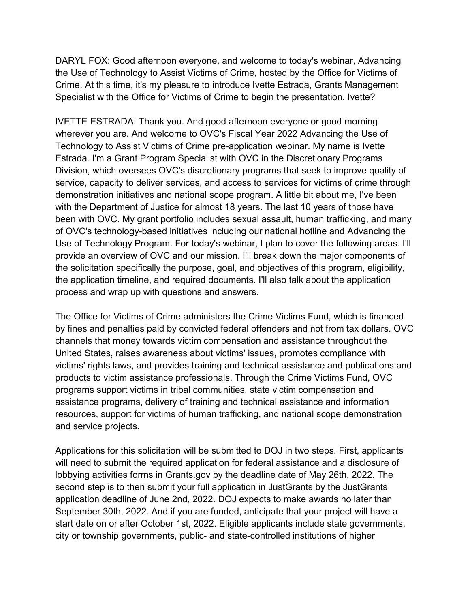DARYL FOX: Good afternoon everyone, and welcome to today's webinar, Advancing the Use of Technology to Assist Victims of Crime, hosted by the Office for Victims of Crime. At this time, it's my pleasure to introduce Ivette Estrada, Grants Management Specialist with the Office for Victims of Crime to begin the presentation. Ivette?

IVETTE ESTRADA: Thank you. And good afternoon everyone or good morning wherever you are. And welcome to OVC's Fiscal Year 2022 Advancing the Use of Technology to Assist Victims of Crime pre-application webinar. My name is Ivette Estrada. I'm a Grant Program Specialist with OVC in the Discretionary Programs Division, which oversees OVC's discretionary programs that seek to improve quality of service, capacity to deliver services, and access to services for victims of crime through demonstration initiatives and national scope program. A little bit about me, I've been with the Department of Justice for almost 18 years. The last 10 years of those have been with OVC. My grant portfolio includes sexual assault, human trafficking, and many of OVC's technology-based initiatives including our national hotline and Advancing the Use of Technology Program. For today's webinar, I plan to cover the following areas. I'll provide an overview of OVC and our mission. I'll break down the major components of the solicitation specifically the purpose, goal, and objectives of this program, eligibility, the application timeline, and required documents. I'll also talk about the application process and wrap up with questions and answers.

The Office for Victims of Crime administers the Crime Victims Fund, which is financed by fines and penalties paid by convicted federal offenders and not from tax dollars. OVC channels that money towards victim compensation and assistance throughout the United States, raises awareness about victims' issues, promotes compliance with victims' rights laws, and provides training and technical assistance and publications and products to victim assistance professionals. Through the Crime Victims Fund, OVC programs support victims in tribal communities, state victim compensation and assistance programs, delivery of training and technical assistance and information resources, support for victims of human trafficking, and national scope demonstration and service projects.

Applications for this solicitation will be submitted to DOJ in two steps. First, applicants will need to submit the required application for federal assistance and a disclosure of lobbying activities forms in Grants.gov by the deadline date of May 26th, 2022. The second step is to then submit your full application in JustGrants by the JustGrants application deadline of June 2nd, 2022. DOJ expects to make awards no later than September 30th, 2022. And if you are funded, anticipate that your project will have a start date on or after October 1st, 2022. Eligible applicants include state governments, city or township governments, public- and state-controlled institutions of higher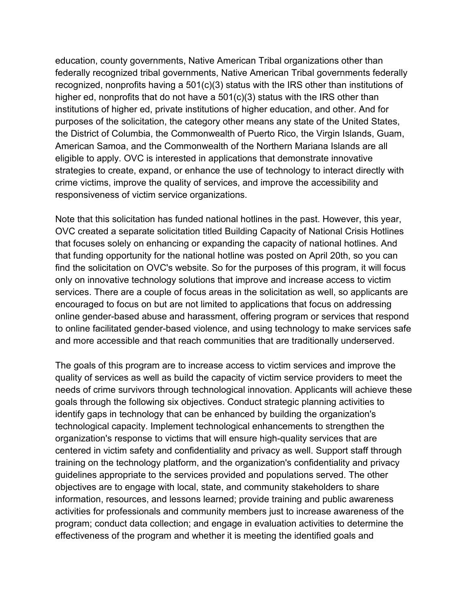education, county governments, Native American Tribal organizations other than federally recognized tribal governments, Native American Tribal governments federally recognized, nonprofits having a 501(c)(3) status with the IRS other than institutions of higher ed, nonprofits that do not have a 501(c)(3) status with the IRS other than institutions of higher ed, private institutions of higher education, and other. And for purposes of the solicitation, the category other means any state of the United States, the District of Columbia, the Commonwealth of Puerto Rico, the Virgin Islands, Guam, American Samoa, and the Commonwealth of the Northern Mariana Islands are all eligible to apply. OVC is interested in applications that demonstrate innovative strategies to create, expand, or enhance the use of technology to interact directly with crime victims, improve the quality of services, and improve the accessibility and responsiveness of victim service organizations.

Note that this solicitation has funded national hotlines in the past. However, this year, OVC created a separate solicitation titled Building Capacity of National Crisis Hotlines that focuses solely on enhancing or expanding the capacity of national hotlines. And that funding opportunity for the national hotline was posted on April 20th, so you can find the solicitation on OVC's website. So for the purposes of this program, it will focus only on innovative technology solutions that improve and increase access to victim services. There are a couple of focus areas in the solicitation as well, so applicants are encouraged to focus on but are not limited to applications that focus on addressing online gender-based abuse and harassment, offering program or services that respond to online facilitated gender-based violence, and using technology to make services safe and more accessible and that reach communities that are traditionally underserved.

The goals of this program are to increase access to victim services and improve the quality of services as well as build the capacity of victim service providers to meet the needs of crime survivors through technological innovation. Applicants will achieve these goals through the following six objectives. Conduct strategic planning activities to identify gaps in technology that can be enhanced by building the organization's technological capacity. Implement technological enhancements to strengthen the organization's response to victims that will ensure high-quality services that are centered in victim safety and confidentiality and privacy as well. Support staff through training on the technology platform, and the organization's confidentiality and privacy guidelines appropriate to the services provided and populations served. The other objectives are to engage with local, state, and community stakeholders to share information, resources, and lessons learned; provide training and public awareness activities for professionals and community members just to increase awareness of the program; conduct data collection; and engage in evaluation activities to determine the effectiveness of the program and whether it is meeting the identified goals and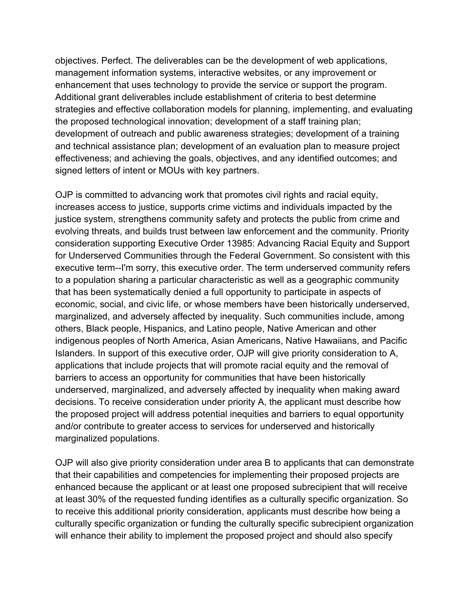objectives. Perfect. The deliverables can be the development of web applications, management information systems, interactive websites, or any improvement or enhancement that uses technology to provide the service or support the program. Additional grant deliverables include establishment of criteria to best determine strategies and effective collaboration models for planning, implementing, and evaluating the proposed technological innovation; development of a staff training plan; development of outreach and public awareness strategies; development of a training and technical assistance plan; development of an evaluation plan to measure project effectiveness; and achieving the goals, objectives, and any identified outcomes; and signed letters of intent or MOUs with key partners.

OJP is committed to advancing work that promotes civil rights and racial equity, increases access to justice, supports crime victims and individuals impacted by the justice system, strengthens community safety and protects the public from crime and evolving threats, and builds trust between law enforcement and the community. Priority consideration supporting Executive Order 13985: Advancing Racial Equity and Support for Underserved Communities through the Federal Government. So consistent with this executive term--I'm sorry, this executive order. The term underserved community refers to a population sharing a particular characteristic as well as a geographic community that has been systematically denied a full opportunity to participate in aspects of economic, social, and civic life, or whose members have been historically underserved, marginalized, and adversely affected by inequality. Such communities include, among others, Black people, Hispanics, and Latino people, Native American and other indigenous peoples of North America, Asian Americans, Native Hawaiians, and Pacific Islanders. In support of this executive order, OJP will give priority consideration to A, applications that include projects that will promote racial equity and the removal of barriers to access an opportunity for communities that have been historically underserved, marginalized, and adversely affected by inequality when making award decisions. To receive consideration under priority A, the applicant must describe how the proposed project will address potential inequities and barriers to equal opportunity and/or contribute to greater access to services for underserved and historically marginalized populations.

OJP will also give priority consideration under area B to applicants that can demonstrate that their capabilities and competencies for implementing their proposed projects are enhanced because the applicant or at least one proposed subrecipient that will receive at least 30% of the requested funding identifies as a culturally specific organization. So to receive this additional priority consideration, applicants must describe how being a culturally specific organization or funding the culturally specific subrecipient organization will enhance their ability to implement the proposed project and should also specify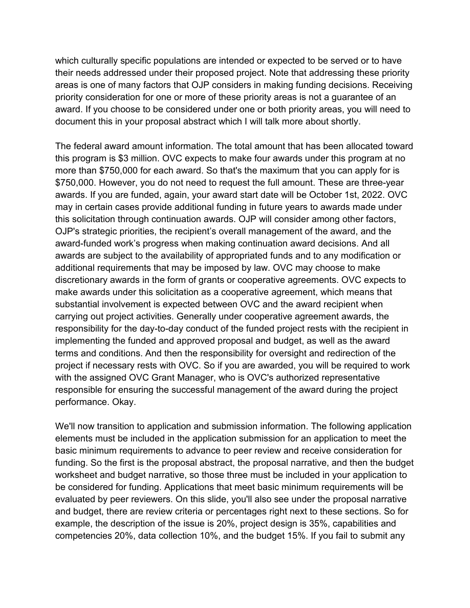which culturally specific populations are intended or expected to be served or to have their needs addressed under their proposed project. Note that addressing these priority areas is one of many factors that OJP considers in making funding decisions. Receiving priority consideration for one or more of these priority areas is not a guarantee of an award. If you choose to be considered under one or both priority areas, you will need to document this in your proposal abstract which I will talk more about shortly.

The federal award amount information. The total amount that has been allocated toward this program is \$3 million. OVC expects to make four awards under this program at no more than \$750,000 for each award. So that's the maximum that you can apply for is \$750,000. However, you do not need to request the full amount. These are three-year awards. If you are funded, again, your award start date will be October 1st, 2022. OVC may in certain cases provide additional funding in future years to awards made under this solicitation through continuation awards. OJP will consider among other factors, OJP's strategic priorities, the recipient's overall management of the award, and the award-funded work's progress when making continuation award decisions. And all awards are subject to the availability of appropriated funds and to any modification or additional requirements that may be imposed by law. OVC may choose to make discretionary awards in the form of grants or cooperative agreements. OVC expects to make awards under this solicitation as a cooperative agreement, which means that substantial involvement is expected between OVC and the award recipient when carrying out project activities. Generally under cooperative agreement awards, the responsibility for the day-to-day conduct of the funded project rests with the recipient in implementing the funded and approved proposal and budget, as well as the award terms and conditions. And then the responsibility for oversight and redirection of the project if necessary rests with OVC. So if you are awarded, you will be required to work with the assigned OVC Grant Manager, who is OVC's authorized representative responsible for ensuring the successful management of the award during the project performance. Okay.

We'll now transition to application and submission information. The following application elements must be included in the application submission for an application to meet the basic minimum requirements to advance to peer review and receive consideration for funding. So the first is the proposal abstract, the proposal narrative, and then the budget worksheet and budget narrative, so those three must be included in your application to be considered for funding. Applications that meet basic minimum requirements will be evaluated by peer reviewers. On this slide, you'll also see under the proposal narrative and budget, there are review criteria or percentages right next to these sections. So for example, the description of the issue is 20%, project design is 35%, capabilities and competencies 20%, data collection 10%, and the budget 15%. If you fail to submit any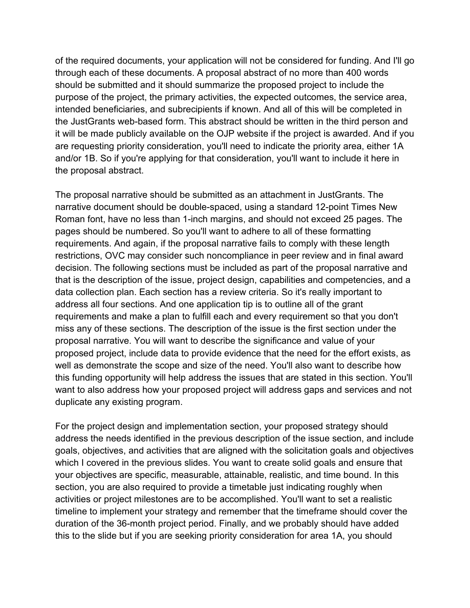of the required documents, your application will not be considered for funding. And I'll go through each of these documents. A proposal abstract of no more than 400 words should be submitted and it should summarize the proposed project to include the purpose of the project, the primary activities, the expected outcomes, the service area, intended beneficiaries, and subrecipients if known. And all of this will be completed in the JustGrants web-based form. This abstract should be written in the third person and it will be made publicly available on the OJP website if the project is awarded. And if you are requesting priority consideration, you'll need to indicate the priority area, either 1A and/or 1B. So if you're applying for that consideration, you'll want to include it here in the proposal abstract.

The proposal narrative should be submitted as an attachment in JustGrants. The narrative document should be double-spaced, using a standard 12-point Times New Roman font, have no less than 1-inch margins, and should not exceed 25 pages. The pages should be numbered. So you'll want to adhere to all of these formatting requirements. And again, if the proposal narrative fails to comply with these length restrictions, OVC may consider such noncompliance in peer review and in final award decision. The following sections must be included as part of the proposal narrative and that is the description of the issue, project design, capabilities and competencies, and a data collection plan. Each section has a review criteria. So it's really important to address all four sections. And one application tip is to outline all of the grant requirements and make a plan to fulfill each and every requirement so that you don't miss any of these sections. The description of the issue is the first section under the proposal narrative. You will want to describe the significance and value of your proposed project, include data to provide evidence that the need for the effort exists, as well as demonstrate the scope and size of the need. You'll also want to describe how this funding opportunity will help address the issues that are stated in this section. You'll want to also address how your proposed project will address gaps and services and not duplicate any existing program.

For the project design and implementation section, your proposed strategy should address the needs identified in the previous description of the issue section, and include goals, objectives, and activities that are aligned with the solicitation goals and objectives which I covered in the previous slides. You want to create solid goals and ensure that your objectives are specific, measurable, attainable, realistic, and time bound. In this section, you are also required to provide a timetable just indicating roughly when activities or project milestones are to be accomplished. You'll want to set a realistic timeline to implement your strategy and remember that the timeframe should cover the duration of the 36-month project period. Finally, and we probably should have added this to the slide but if you are seeking priority consideration for area 1A, you should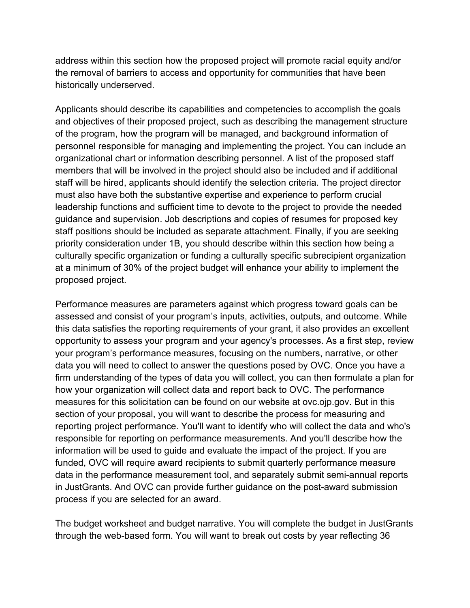address within this section how the proposed project will promote racial equity and/or the removal of barriers to access and opportunity for communities that have been historically underserved.

Applicants should describe its capabilities and competencies to accomplish the goals and objectives of their proposed project, such as describing the management structure of the program, how the program will be managed, and background information of personnel responsible for managing and implementing the project. You can include an organizational chart or information describing personnel. A list of the proposed staff members that will be involved in the project should also be included and if additional staff will be hired, applicants should identify the selection criteria. The project director must also have both the substantive expertise and experience to perform crucial leadership functions and sufficient time to devote to the project to provide the needed guidance and supervision. Job descriptions and copies of resumes for proposed key staff positions should be included as separate attachment. Finally, if you are seeking priority consideration under 1B, you should describe within this section how being a culturally specific organization or funding a culturally specific subrecipient organization at a minimum of 30% of the project budget will enhance your ability to implement the proposed project.

Performance measures are parameters against which progress toward goals can be assessed and consist of your program's inputs, activities, outputs, and outcome. While this data satisfies the reporting requirements of your grant, it also provides an excellent opportunity to assess your program and your agency's processes. As a first step, review your program's performance measures, focusing on the numbers, narrative, or other data you will need to collect to answer the questions posed by OVC. Once you have a firm understanding of the types of data you will collect, you can then formulate a plan for how your organization will collect data and report back to OVC. The performance measures for this solicitation can be found on our website at ovc.ojp.gov. But in this section of your proposal, you will want to describe the process for measuring and reporting project performance. You'll want to identify who will collect the data and who's responsible for reporting on performance measurements. And you'll describe how the information will be used to guide and evaluate the impact of the project. If you are funded, OVC will require award recipients to submit quarterly performance measure data in the performance measurement tool, and separately submit semi-annual reports in JustGrants. And OVC can provide further guidance on the post-award submission process if you are selected for an award.

The budget worksheet and budget narrative. You will complete the budget in JustGrants through the web-based form. You will want to break out costs by year reflecting 36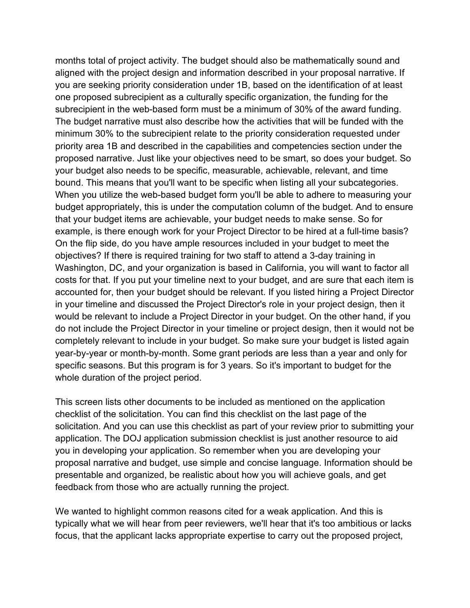months total of project activity. The budget should also be mathematically sound and aligned with the project design and information described in your proposal narrative. If you are seeking priority consideration under 1B, based on the identification of at least one proposed subrecipient as a culturally specific organization, the funding for the subrecipient in the web-based form must be a minimum of 30% of the award funding. The budget narrative must also describe how the activities that will be funded with the minimum 30% to the subrecipient relate to the priority consideration requested under priority area 1B and described in the capabilities and competencies section under the proposed narrative. Just like your objectives need to be smart, so does your budget. So your budget also needs to be specific, measurable, achievable, relevant, and time bound. This means that you'll want to be specific when listing all your subcategories. When you utilize the web-based budget form you'll be able to adhere to measuring your budget appropriately, this is under the computation column of the budget. And to ensure that your budget items are achievable, your budget needs to make sense. So for example, is there enough work for your Project Director to be hired at a full-time basis? On the flip side, do you have ample resources included in your budget to meet the objectives? If there is required training for two staff to attend a 3-day training in Washington, DC, and your organization is based in California, you will want to factor all costs for that. If you put your timeline next to your budget, and are sure that each item is accounted for, then your budget should be relevant. If you listed hiring a Project Director in your timeline and discussed the Project Director's role in your project design, then it would be relevant to include a Project Director in your budget. On the other hand, if you do not include the Project Director in your timeline or project design, then it would not be completely relevant to include in your budget. So make sure your budget is listed again year-by-year or month-by-month. Some grant periods are less than a year and only for specific seasons. But this program is for 3 years. So it's important to budget for the whole duration of the project period.

This screen lists other documents to be included as mentioned on the application checklist of the solicitation. You can find this checklist on the last page of the solicitation. And you can use this checklist as part of your review prior to submitting your application. The DOJ application submission checklist is just another resource to aid you in developing your application. So remember when you are developing your proposal narrative and budget, use simple and concise language. Information should be presentable and organized, be realistic about how you will achieve goals, and get feedback from those who are actually running the project.

We wanted to highlight common reasons cited for a weak application. And this is typically what we will hear from peer reviewers, we'll hear that it's too ambitious or lacks focus, that the applicant lacks appropriate expertise to carry out the proposed project,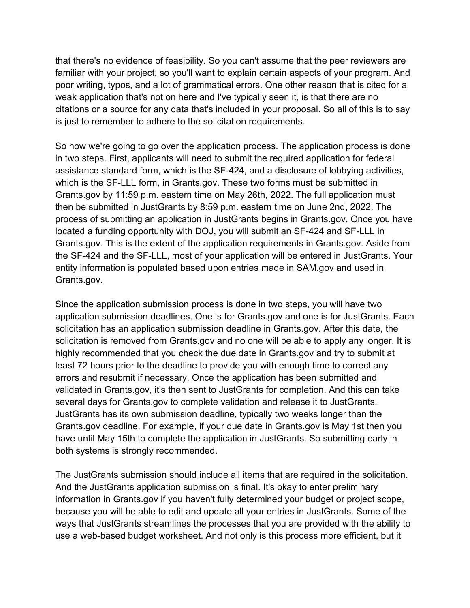that there's no evidence of feasibility. So you can't assume that the peer reviewers are familiar with your project, so you'll want to explain certain aspects of your program. And poor writing, typos, and a lot of grammatical errors. One other reason that is cited for a weak application that's not on here and I've typically seen it, is that there are no citations or a source for any data that's included in your proposal. So all of this is to say is just to remember to adhere to the solicitation requirements.

So now we're going to go over the application process. The application process is done in two steps. First, applicants will need to submit the required application for federal assistance standard form, which is the SF-424, and a disclosure of lobbying activities, which is the SF-LLL form, in Grants.gov. These two forms must be submitted in Grants.gov by 11:59 p.m. eastern time on May 26th, 2022. The full application must then be submitted in JustGrants by 8:59 p.m. eastern time on June 2nd, 2022. The process of submitting an application in JustGrants begins in Grants.gov. Once you have located a funding opportunity with DOJ, you will submit an SF-424 and SF-LLL in Grants.gov. This is the extent of the application requirements in Grants.gov. Aside from the SF-424 and the SF-LLL, most of your application will be entered in JustGrants. Your entity information is populated based upon entries made in SAM.gov and used in Grants.gov.

Since the application submission process is done in two steps, you will have two application submission deadlines. One is for Grants.gov and one is for JustGrants. Each solicitation has an application submission deadline in Grants.gov. After this date, the solicitation is removed from Grants.gov and no one will be able to apply any longer. It is highly recommended that you check the due date in Grants.gov and try to submit at least 72 hours prior to the deadline to provide you with enough time to correct any errors and resubmit if necessary. Once the application has been submitted and validated in Grants.gov, it's then sent to JustGrants for completion. And this can take several days for Grants.gov to complete validation and release it to JustGrants. JustGrants has its own submission deadline, typically two weeks longer than the Grants.gov deadline. For example, if your due date in Grants.gov is May 1st then you have until May 15th to complete the application in JustGrants. So submitting early in both systems is strongly recommended.

The JustGrants submission should include all items that are required in the solicitation. And the JustGrants application submission is final. It's okay to enter preliminary information in Grants.gov if you haven't fully determined your budget or project scope, because you will be able to edit and update all your entries in JustGrants. Some of the ways that JustGrants streamlines the processes that you are provided with the ability to use a web-based budget worksheet. And not only is this process more efficient, but it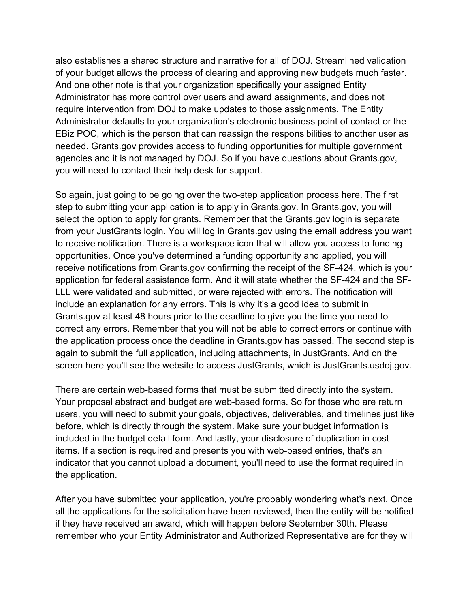also establishes a shared structure and narrative for all of DOJ. Streamlined validation of your budget allows the process of clearing and approving new budgets much faster. And one other note is that your organization specifically your assigned Entity Administrator has more control over users and award assignments, and does not require intervention from DOJ to make updates to those assignments. The Entity Administrator defaults to your organization's electronic business point of contact or the EBiz POC, which is the person that can reassign the responsibilities to another user as needed. Grants.gov provides access to funding opportunities for multiple government agencies and it is not managed by DOJ. So if you have questions about Grants.gov, you will need to contact their help desk for support.

So again, just going to be going over the two-step application process here. The first step to submitting your application is to apply in Grants.gov. In Grants.gov, you will select the option to apply for grants. Remember that the Grants.gov login is separate from your JustGrants login. You will log in Grants.gov using the email address you want to receive notification. There is a workspace icon that will allow you access to funding opportunities. Once you've determined a funding opportunity and applied, you will receive notifications from Grants.gov confirming the receipt of the SF-424, which is your application for federal assistance form. And it will state whether the SF-424 and the SF-LLL were validated and submitted, or were rejected with errors. The notification will include an explanation for any errors. This is why it's a good idea to submit in Grants.gov at least 48 hours prior to the deadline to give you the time you need to correct any errors. Remember that you will not be able to correct errors or continue with the application process once the deadline in Grants.gov has passed. The second step is again to submit the full application, including attachments, in JustGrants. And on the screen here you'll see the website to access JustGrants, which is JustGrants.usdoj.gov.

There are certain web-based forms that must be submitted directly into the system. Your proposal abstract and budget are web-based forms. So for those who are return users, you will need to submit your goals, objectives, deliverables, and timelines just like before, which is directly through the system. Make sure your budget information is included in the budget detail form. And lastly, your disclosure of duplication in cost items. If a section is required and presents you with web-based entries, that's an indicator that you cannot upload a document, you'll need to use the format required in the application.

After you have submitted your application, you're probably wondering what's next. Once all the applications for the solicitation have been reviewed, then the entity will be notified if they have received an award, which will happen before September 30th. Please remember who your Entity Administrator and Authorized Representative are for they will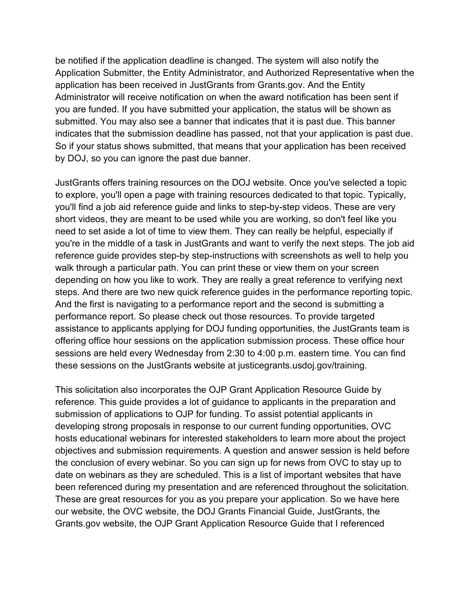be notified if the application deadline is changed. The system will also notify the Application Submitter, the Entity Administrator, and Authorized Representative when the application has been received in JustGrants from Grants.gov. And the Entity Administrator will receive notification on when the award notification has been sent if you are funded. If you have submitted your application, the status will be shown as submitted. You may also see a banner that indicates that it is past due. This banner indicates that the submission deadline has passed, not that your application is past due. So if your status shows submitted, that means that your application has been received by DOJ, so you can ignore the past due banner.

JustGrants offers training resources on the DOJ website. Once you've selected a topic to explore, you'll open a page with training resources dedicated to that topic. Typically, you'll find a job aid reference guide and links to step-by-step videos. These are very short videos, they are meant to be used while you are working, so don't feel like you need to set aside a lot of time to view them. They can really be helpful, especially if you're in the middle of a task in JustGrants and want to verify the next steps. The job aid reference guide provides step-by step-instructions with screenshots as well to help you walk through a particular path. You can print these or view them on your screen depending on how you like to work. They are really a great reference to verifying next steps. And there are two new quick reference guides in the performance reporting topic. And the first is navigating to a performance report and the second is submitting a performance report. So please check out those resources. To provide targeted assistance to applicants applying for DOJ funding opportunities, the JustGrants team is offering office hour sessions on the application submission process. These office hour sessions are held every Wednesday from 2:30 to 4:00 p.m. eastern time. You can find these sessions on the JustGrants website at justicegrants.usdoj.gov/training.

This solicitation also incorporates the OJP Grant Application Resource Guide by reference. This guide provides a lot of guidance to applicants in the preparation and submission of applications to OJP for funding. To assist potential applicants in developing strong proposals in response to our current funding opportunities, OVC hosts educational webinars for interested stakeholders to learn more about the project objectives and submission requirements. A question and answer session is held before the conclusion of every webinar. So you can sign up for news from OVC to stay up to date on webinars as they are scheduled. This is a list of important websites that have been referenced during my presentation and are referenced throughout the solicitation. These are great resources for you as you prepare your application. So we have here our website, the OVC website, the DOJ Grants Financial Guide, JustGrants, the Grants.gov website, the OJP Grant Application Resource Guide that I referenced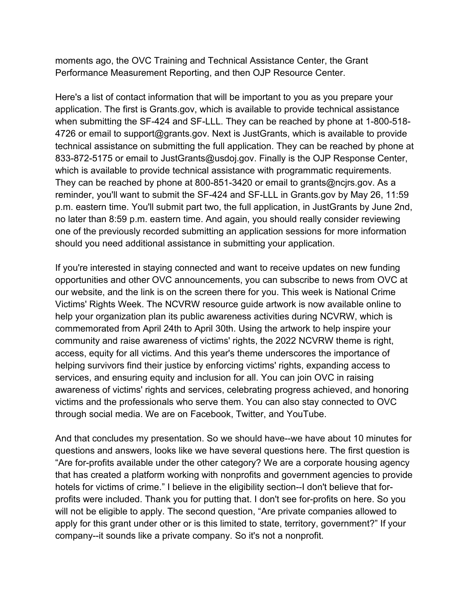moments ago, the OVC Training and Technical Assistance Center, the Grant Performance Measurement Reporting, and then OJP Resource Center.

Here's a list of contact information that will be important to you as you prepare your application. The first is Grants.gov, which is available to provide technical assistance when submitting the SF-424 and SF-LLL. They can be reached by phone at 1-800-518- 4726 or email to support@grants.gov. Next is JustGrants, which is available to provide technical assistance on submitting the full application. They can be reached by phone at 833-872-5175 or email to JustGrants@usdoj.gov. Finally is the OJP Response Center, which is available to provide technical assistance with programmatic requirements. They can be reached by phone at 800-851-3420 or email to grants@ncjrs.gov. As a reminder, you'll want to submit the SF-424 and SF-LLL in Grants.gov by May 26, 11:59 p.m. eastern time. You'll submit part two, the full application, in JustGrants by June 2nd, no later than 8:59 p.m. eastern time. And again, you should really consider reviewing one of the previously recorded submitting an application sessions for more information should you need additional assistance in submitting your application.

If you're interested in staying connected and want to receive updates on new funding opportunities and other OVC announcements, you can subscribe to news from OVC at our website, and the link is on the screen there for you. This week is National Crime Victims' Rights Week. The NCVRW resource guide artwork is now available online to help your organization plan its public awareness activities during NCVRW, which is commemorated from April 24th to April 30th. Using the artwork to help inspire your community and raise awareness of victims' rights, the 2022 NCVRW theme is right, access, equity for all victims. And this year's theme underscores the importance of helping survivors find their justice by enforcing victims' rights, expanding access to services, and ensuring equity and inclusion for all. You can join OVC in raising awareness of victims' rights and services, celebrating progress achieved, and honoring victims and the professionals who serve them. You can also stay connected to OVC through social media. We are on Facebook, Twitter, and YouTube.

And that concludes my presentation. So we should have--we have about 10 minutes for questions and answers, looks like we have several questions here. The first question is "Are for-profits available under the other category? We are a corporate housing agency that has created a platform working with nonprofits and government agencies to provide hotels for victims of crime." I believe in the eligibility section--I don't believe that forprofits were included. Thank you for putting that. I don't see for-profits on here. So you will not be eligible to apply. The second question, "Are private companies allowed to apply for this grant under other or is this limited to state, territory, government?" If your company--it sounds like a private company. So it's not a nonprofit.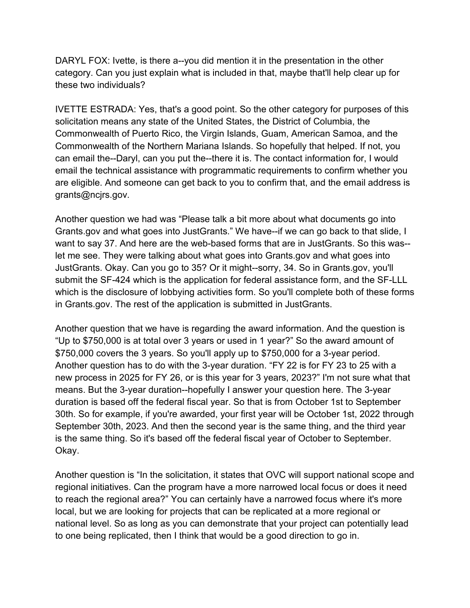DARYL FOX: Ivette, is there a--you did mention it in the presentation in the other category. Can you just explain what is included in that, maybe that'll help clear up for these two individuals?

IVETTE ESTRADA: Yes, that's a good point. So the other category for purposes of this solicitation means any state of the United States, the District of Columbia, the Commonwealth of Puerto Rico, the Virgin Islands, Guam, American Samoa, and the Commonwealth of the Northern Mariana Islands. So hopefully that helped. If not, you can email the--Daryl, can you put the--there it is. The contact information for, I would email the technical assistance with programmatic requirements to confirm whether you are eligible. And someone can get back to you to confirm that, and the email address is grants@ncjrs.gov.

Another question we had was "Please talk a bit more about what documents go into Grants.gov and what goes into JustGrants." We have--if we can go back to that slide, I want to say 37. And here are the web-based forms that are in JustGrants. So this was- let me see. They were talking about what goes into Grants.gov and what goes into JustGrants. Okay. Can you go to 35? Or it might--sorry, 34. So in Grants.gov, you'll submit the SF-424 which is the application for federal assistance form, and the SF-LLL which is the disclosure of lobbying activities form. So you'll complete both of these forms in Grants.gov. The rest of the application is submitted in JustGrants.

Another question that we have is regarding the award information. And the question is "Up to \$750,000 is at total over 3 years or used in 1 year?" So the award amount of \$750,000 covers the 3 years. So you'll apply up to \$750,000 for a 3-year period. Another question has to do with the 3-year duration. "FY 22 is for FY 23 to 25 with a new process in 2025 for FY 26, or is this year for 3 years, 2023?" I'm not sure what that means. But the 3-year duration--hopefully I answer your question here. The 3-year duration is based off the federal fiscal year. So that is from October 1st to September 30th. So for example, if you're awarded, your first year will be October 1st, 2022 through September 30th, 2023. And then the second year is the same thing, and the third year is the same thing. So it's based off the federal fiscal year of October to September. Okay.

Another question is "In the solicitation, it states that OVC will support national scope and regional initiatives. Can the program have a more narrowed local focus or does it need to reach the regional area?" You can certainly have a narrowed focus where it's more local, but we are looking for projects that can be replicated at a more regional or national level. So as long as you can demonstrate that your project can potentially lead to one being replicated, then I think that would be a good direction to go in.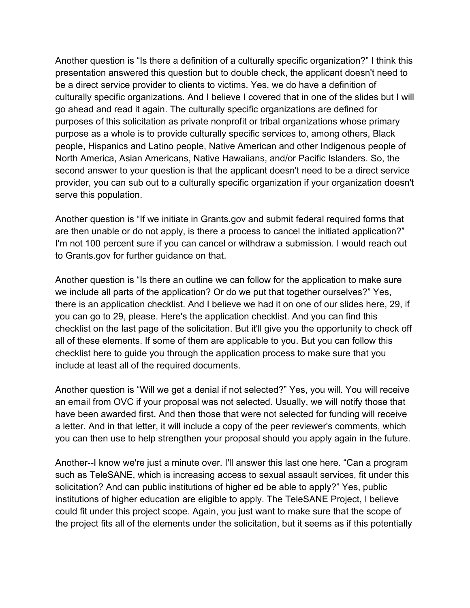Another question is "Is there a definition of a culturally specific organization?" I think this presentation answered this question but to double check, the applicant doesn't need to be a direct service provider to clients to victims. Yes, we do have a definition of culturally specific organizations. And I believe I covered that in one of the slides but I will go ahead and read it again. The culturally specific organizations are defined for purposes of this solicitation as private nonprofit or tribal organizations whose primary purpose as a whole is to provide culturally specific services to, among others, Black people, Hispanics and Latino people, Native American and other Indigenous people of North America, Asian Americans, Native Hawaiians, and/or Pacific Islanders. So, the second answer to your question is that the applicant doesn't need to be a direct service provider, you can sub out to a culturally specific organization if your organization doesn't serve this population.

Another question is "If we initiate in Grants.gov and submit federal required forms that are then unable or do not apply, is there a process to cancel the initiated application?" I'm not 100 percent sure if you can cancel or withdraw a submission. I would reach out to Grants.gov for further guidance on that.

Another question is "Is there an outline we can follow for the application to make sure we include all parts of the application? Or do we put that together ourselves?" Yes, there is an application checklist. And I believe we had it on one of our slides here, 29, if you can go to 29, please. Here's the application checklist. And you can find this checklist on the last page of the solicitation. But it'll give you the opportunity to check off all of these elements. If some of them are applicable to you. But you can follow this checklist here to guide you through the application process to make sure that you include at least all of the required documents.

Another question is "Will we get a denial if not selected?" Yes, you will. You will receive an email from OVC if your proposal was not selected. Usually, we will notify those that have been awarded first. And then those that were not selected for funding will receive a letter. And in that letter, it will include a copy of the peer reviewer's comments, which you can then use to help strengthen your proposal should you apply again in the future.

Another--I know we're just a minute over. I'll answer this last one here. "Can a program such as TeleSANE, which is increasing access to sexual assault services, fit under this solicitation? And can public institutions of higher ed be able to apply?" Yes, public institutions of higher education are eligible to apply. The TeleSANE Project, I believe could fit under this project scope. Again, you just want to make sure that the scope of the project fits all of the elements under the solicitation, but it seems as if this potentially